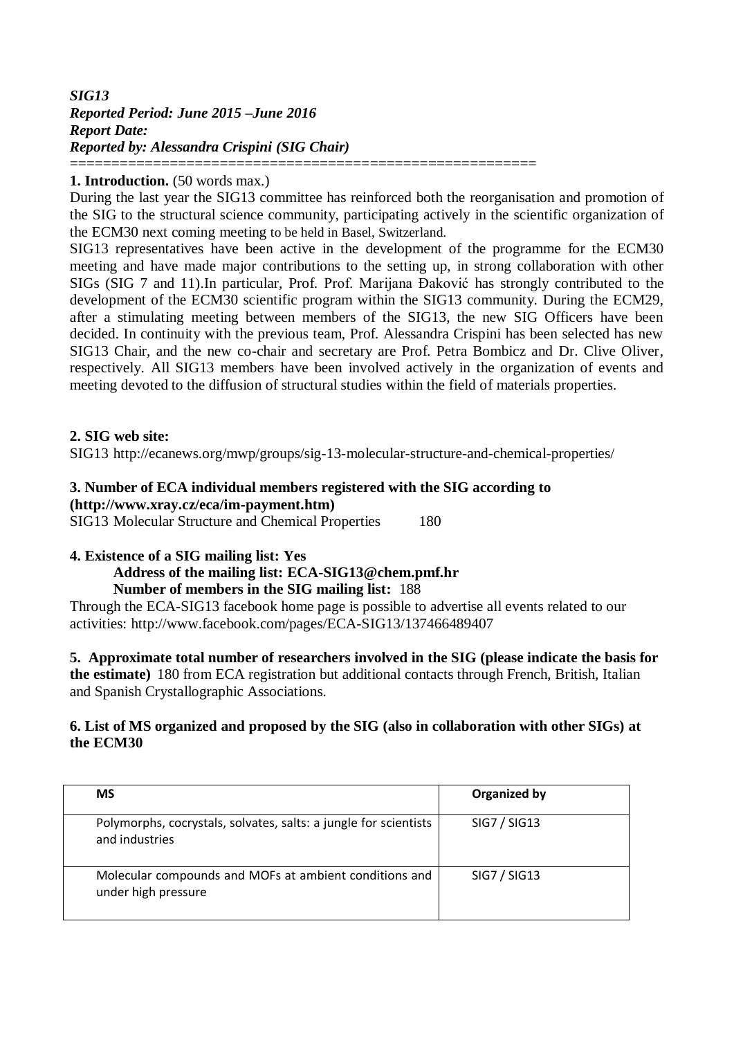# *SIG13 Reported Period: June 2015 –June 2016 Report Date: Reported by: Alessandra Crispini (SIG Chair)* ========================================================

## **1. Introduction.** (50 words max.)

During the last year the SIG13 committee has reinforced both the reorganisation and promotion of the SIG to the structural science community, participating actively in the scientific organization of the ECM30 next coming meeting to be held in Basel, Switzerland.

SIG13 representatives have been active in the development of the programme for the ECM30 meeting and have made major contributions to the setting up, in strong collaboration with other SIGs (SIG 7 and 11).In particular, Prof. Prof. Marijana Đaković has strongly contributed to the development of the ECM30 scientific program within the SIG13 community. During the ECM29, after a stimulating meeting between members of the SIG13, the new SIG Officers have been decided. In continuity with the previous team, Prof. Alessandra Crispini has been selected has new SIG13 Chair, and the new co-chair and secretary are Prof. Petra Bombicz and Dr. Clive Oliver, respectively. All SIG13 members have been involved actively in the organization of events and meeting devoted to the diffusion of structural studies within the field of materials properties.

## **2. SIG web site:**

SIG13 http://ecanews.org/mwp/groups/sig-13-molecular-structure-and-chemical-properties/

## **3. Number of ECA individual members registered with the SIG according to [\(http://www.xray.cz/eca/im-payment.htm\)](http://www.xray.cz/eca/im-payment.htm)**

SIG13 Molecular Structure and Chemical Properties 180

## **4. Existence of a SIG mailing list: Yes**

## **Address of the mailing list: ECA-SIG13@chem.pmf.hr**

## **Number of members in the SIG mailing list:** 188

Through the ECA-SIG13 facebook home page is possible to advertise all events related to our activities: http://www.facebook.com/pages/ECA-SIG13/137466489407

**5. Approximate total number of researchers involved in the SIG (please indicate the basis for the estimate)** 180 from ECA registration but additional contacts through French, British, Italian and Spanish Crystallographic Associations.

## **6. List of MS organized and proposed by the SIG (also in collaboration with other SIGs) at the ECM30**

| <b>MS</b>                                                                          | Organized by |
|------------------------------------------------------------------------------------|--------------|
| Polymorphs, cocrystals, solvates, salts: a jungle for scientists<br>and industries | SIG7 / SIG13 |
| Molecular compounds and MOFs at ambient conditions and<br>under high pressure      | SIG7 / SIG13 |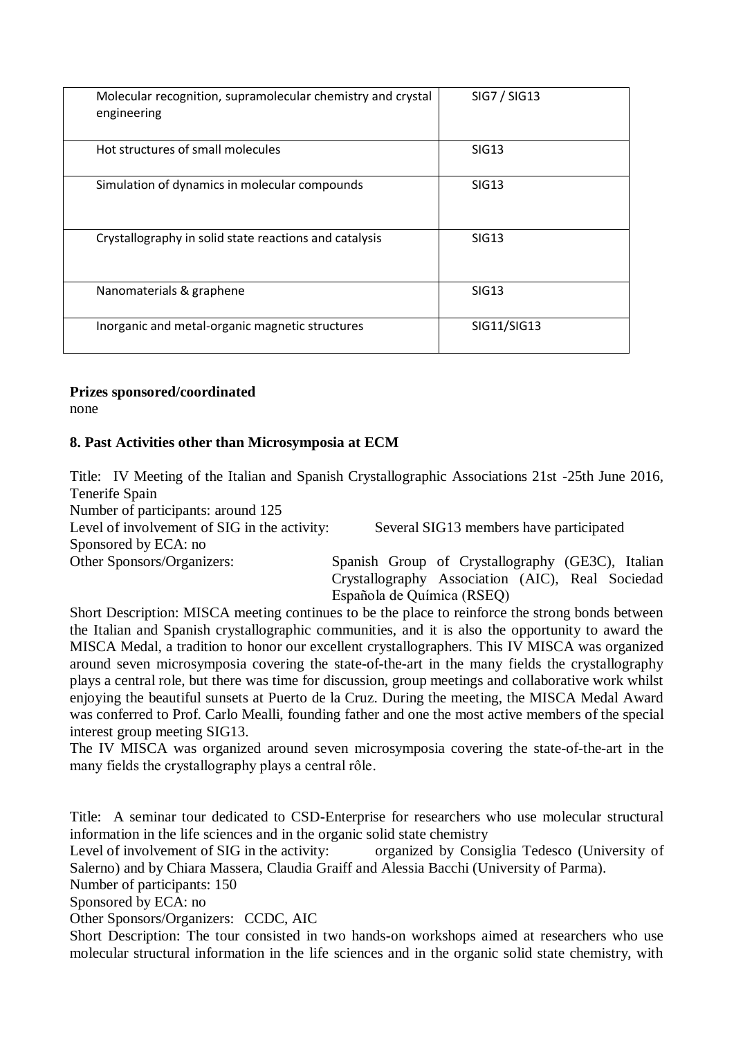| Molecular recognition, supramolecular chemistry and crystal<br>engineering | SIG7 / SIG13 |
|----------------------------------------------------------------------------|--------------|
| Hot structures of small molecules                                          | SIG13        |
| Simulation of dynamics in molecular compounds                              | SIG13        |
| Crystallography in solid state reactions and catalysis                     | SIG13        |
| Nanomaterials & graphene                                                   | SIG13        |
| Inorganic and metal-organic magnetic structures                            | SIG11/SIG13  |

# **Prizes sponsored/coordinated**

none

# **8. Past Activities other than Microsymposia at ECM**

Title: IV Meeting of the Italian and Spanish Crystallographic Associations 21st -25th June 2016, Tenerife Spain

Number of participants: around 125 Level of involvement of SIG in the activity: Several SIG13 members have participated Sponsored by ECA: no Other Sponsors/Organizers: Spanish Group of Crystallography (GE3C), Italian

Crystallography Association (AIC), Real Sociedad Española de Química (RSEQ)

Short Description: MISCA meeting continues to be the place to reinforce the strong bonds between the Italian and Spanish crystallographic communities, and it is also the opportunity to award the MISCA Medal, a tradition to honor our excellent crystallographers. This IV MISCA was organized around seven microsymposia covering the state-of-the-art in the many fields the crystallography plays a central role, but there was time for discussion, group meetings and collaborative work whilst enjoying the beautiful sunsets at Puerto de la Cruz. During the meeting, the MISCA Medal Award was conferred to Prof. Carlo Mealli, founding father and one the most active members of the special interest group meeting SIG13.

The IV MISCA was organized around seven microsymposia covering the state-of-the-art in the many fields the crystallography plays a central rôle.

Title: A seminar tour dedicated to CSD-Enterprise for researchers who use molecular structural information in the life sciences and in the organic solid state chemistry

Level of involvement of SIG in the activity: organized by Consiglia Tedesco (University of Salerno) and by Chiara Massera, Claudia Graiff and Alessia Bacchi (University of Parma).

Number of participants: 150

Sponsored by ECA: no

Other Sponsors/Organizers: CCDC, AIC

Short Description: The tour consisted in two hands-on workshops aimed at researchers who use molecular structural information in the life sciences and in the organic solid state chemistry, with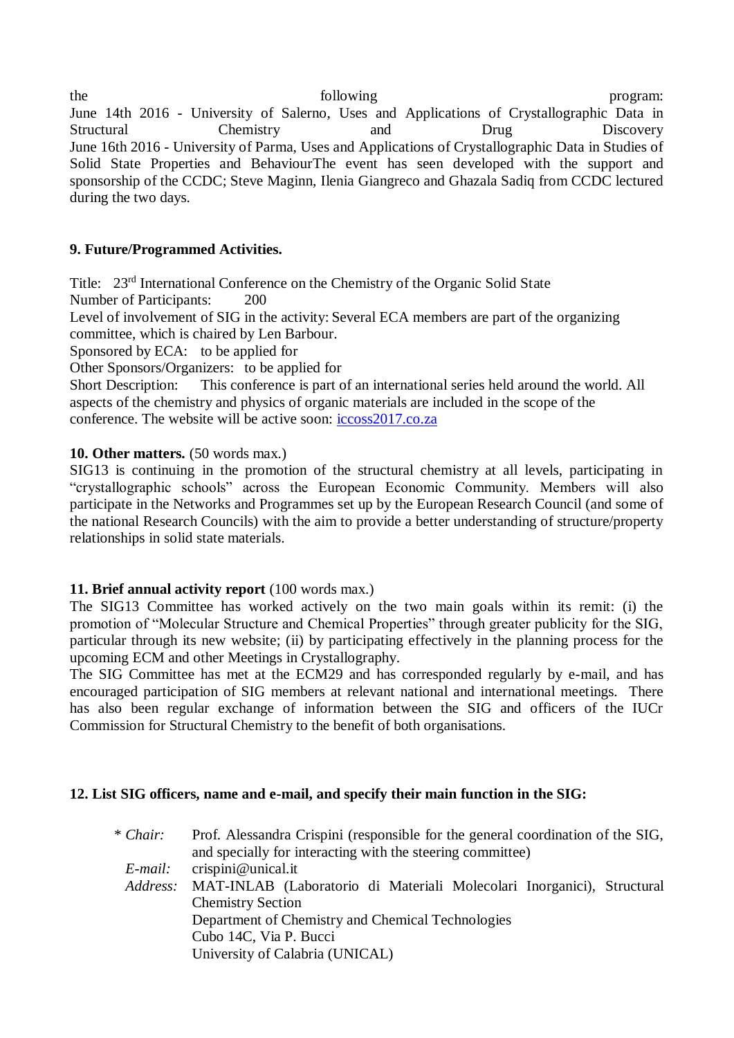the following the program: June 14th 2016 - University of Salerno, Uses and Applications of Crystallographic Data in Structural Chemistry and Drug Discovery June 16th 2016 - University of Parma, Uses and Applications of Crystallographic Data in Studies of Solid State Properties and BehaviourThe event has seen developed with the support and sponsorship of the CCDC; Steve Maginn, Ilenia Giangreco and Ghazala Sadiq from CCDC lectured during the two days.

# **9. Future/Programmed Activities.**

Title: 23rd International Conference on the Chemistry of the Organic Solid State

Number of Participants: 200

Level of involvement of SIG in the activity: Several ECA members are part of the organizing committee, which is chaired by Len Barbour.

Sponsored by ECA: to be applied for

Other Sponsors/Organizers: to be applied for

Short Description: This conference is part of an international series held around the world. All aspects of the chemistry and physics of organic materials are included in the scope of the conference. The website will be active soon: [iccoss2017.co.za](http://iccoss2017.co.za/)

# **10. Other matters.** (50 words max.)

SIG13 is continuing in the promotion of the structural chemistry at all levels, participating in "crystallographic schools" across the European Economic Community. Members will also participate in the Networks and Programmes set up by the European Research Council (and some of the national Research Councils) with the aim to provide a better understanding of structure/property relationships in solid state materials.

# **11. Brief annual activity report** (100 words max.)

The SIG13 Committee has worked actively on the two main goals within its remit: (i) the promotion of "Molecular Structure and Chemical Properties" through greater publicity for the SIG, particular through its new website; (ii) by participating effectively in the planning process for the upcoming ECM and other Meetings in Crystallography.

The SIG Committee has met at the ECM29 and has corresponded regularly by e-mail, and has encouraged participation of SIG members at relevant national and international meetings. There has also been regular exchange of information between the SIG and officers of the IUCr Commission for Structural Chemistry to the benefit of both organisations.

# **12. List SIG officers, name and e-mail, and specify their main function in the SIG:**

| * Chair: | Prof. Alessandra Crispini (responsible for the general coordination of the SIG, |  |
|----------|---------------------------------------------------------------------------------|--|
|          | and specially for interacting with the steering committee)                      |  |
| E-mail:  | crispini@unical.it                                                              |  |
|          | Address: MAT-INLAB (Laboratorio di Materiali Molecolari Inorganici), Structural |  |
|          | <b>Chemistry Section</b>                                                        |  |
|          | Department of Chemistry and Chemical Technologies                               |  |
|          | Cubo 14C, Via P. Bucci                                                          |  |
|          | University of Calabria (UNICAL)                                                 |  |